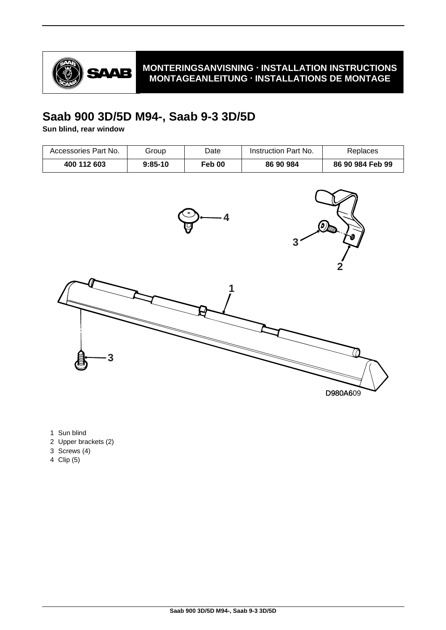

## **MONTERINGSANVISNING · INSTALLATION INSTRUCTIONS MONTAGEANLEITUNG · INSTALLATIONS DE MONTAGE**

## **Saab 900 3D/5D M94-, Saab 9-3 3D/5D**

**Sun blind, rear window**

| Accessories Part No. | Group     | Date   | Instruction Part No. | Replaces         |
|----------------------|-----------|--------|----------------------|------------------|
| 400 112 603          | $9:85-10$ | Feb 00 | 86 90 984            | 86 90 984 Feb 99 |



- 1 Sun blind
- 2 Upper brackets (2)
- 3 Screws (4)
- 4 Clip (5)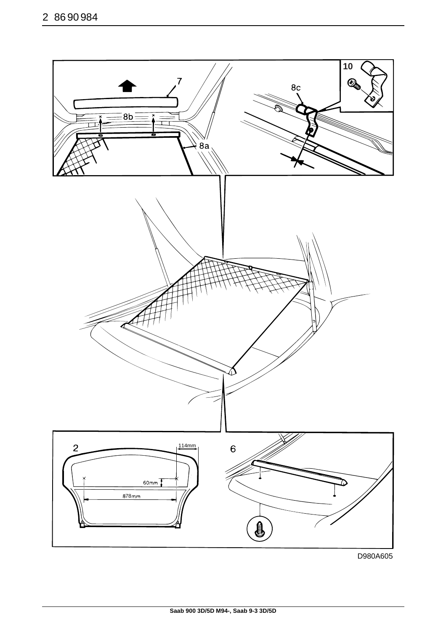

D980A605